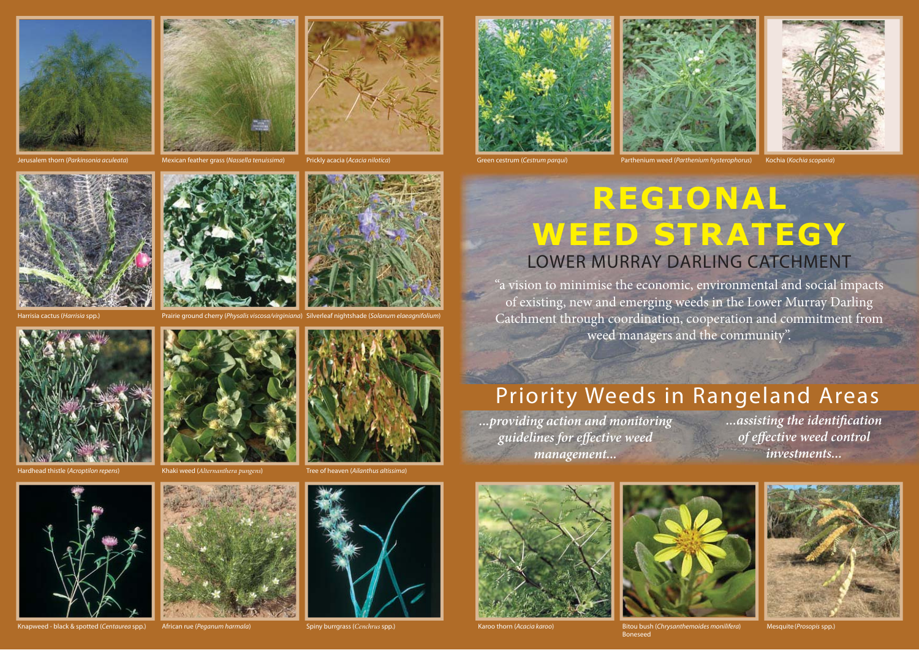



Jerusalem thorn (Parkinsonia aculeata) Mexican feather grass (Nassella tenuissima) Prickly acacia (Acacia nilotica) Green cestrum (Cestrum parqui) Parthenium weed (Parthenium hysterophorus) Kochia (Kochia scoparia) Mexican feather grass (Nassella tenuissima)

Prickly acacia (Acacia nilotica)







## **REGIONAL WEED STRATEGY** LOWER MURRAY DARLING CATCHMENT

"a vision to minimise the economic, environmental and social impacts of existing, new and emerging weeds in the Lower Murray Darling Catchment through coordination, cooperation and commitment from weed managers and the community".

## Priority Weeds in Rangeland Areas

*...providing action and monitoring guidelines for eff ective weed management...*

*...assisting the identifi cation*   $of$  *effective weed control investments...*



Karoo thorn (Acacia karoo) and the section of Bitou bush (Chrysanthemoides monilifera) Mesquite (Prosopis spp.) Boneseed







Harrisia spp.) **Prairie ground cherry (Physalis viscosa**/virginiana) Silverleaf nightshade (Solanum elaeagnifolium)





Khaki weed (*Alternanthera pungens*) d thistle (Acroptilon repens) Khaki weed (Alternanthera pungens) Tree of heaven (Ailanthus altissima)

ed - black & spotted (Centaurea spp.) African rue (Peganum harmala

Spiny burrgrass (*Cenchrus* spp.)